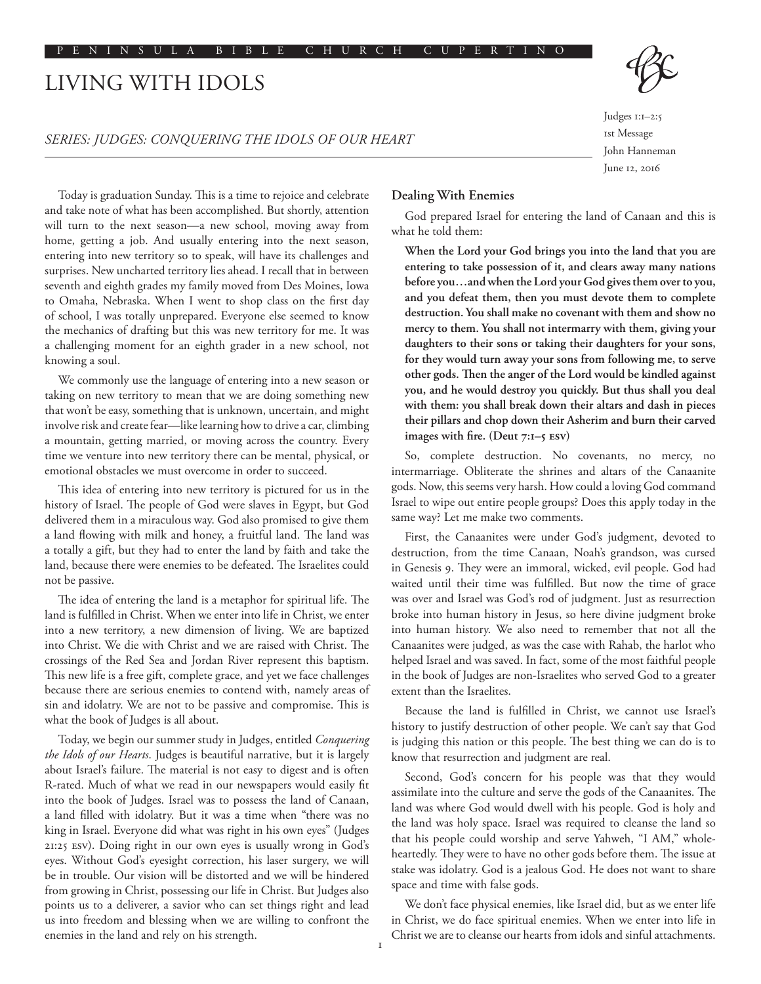# LIVING WITH IDOLS

### *SERIES: JUDGES: CONQUERING THE IDOLS OF OUR HEART*

Judges 1:1–2:5 1st Message John Hanneman June 12, 2016

Today is graduation Sunday. This is a time to rejoice and celebrate and take note of what has been accomplished. But shortly, attention will turn to the next season—a new school, moving away from home, getting a job. And usually entering into the next season, entering into new territory so to speak, will have its challenges and surprises. New uncharted territory lies ahead. I recall that in between seventh and eighth grades my family moved from Des Moines, Iowa to Omaha, Nebraska. When I went to shop class on the first day of school, I was totally unprepared. Everyone else seemed to know the mechanics of drafting but this was new territory for me. It was a challenging moment for an eighth grader in a new school, not knowing a soul.

We commonly use the language of entering into a new season or taking on new territory to mean that we are doing something new that won't be easy, something that is unknown, uncertain, and might involve risk and create fear—like learning how to drive a car, climbing a mountain, getting married, or moving across the country. Every time we venture into new territory there can be mental, physical, or emotional obstacles we must overcome in order to succeed.

This idea of entering into new territory is pictured for us in the history of Israel. The people of God were slaves in Egypt, but God delivered them in a miraculous way. God also promised to give them a land flowing with milk and honey, a fruitful land. The land was a totally a gift, but they had to enter the land by faith and take the land, because there were enemies to be defeated. The Israelites could not be passive.

The idea of entering the land is a metaphor for spiritual life. The land is fulfilled in Christ. When we enter into life in Christ, we enter into a new territory, a new dimension of living. We are baptized into Christ. We die with Christ and we are raised with Christ. The crossings of the Red Sea and Jordan River represent this baptism. This new life is a free gift, complete grace, and yet we face challenges because there are serious enemies to contend with, namely areas of sin and idolatry. We are not to be passive and compromise. This is what the book of Judges is all about.

Today, we begin our summer study in Judges, entitled *Conquering the Idols of our Hearts*. Judges is beautiful narrative, but it is largely about Israel's failure. The material is not easy to digest and is often R-rated. Much of what we read in our newspapers would easily fit into the book of Judges. Israel was to possess the land of Canaan, a land filled with idolatry. But it was a time when "there was no king in Israel. Everyone did what was right in his own eyes" (Judges 21:25 ESV). Doing right in our own eyes is usually wrong in God's eyes. Without God's eyesight correction, his laser surgery, we will be in trouble. Our vision will be distorted and we will be hindered from growing in Christ, possessing our life in Christ. But Judges also points us to a deliverer, a savior who can set things right and lead us into freedom and blessing when we are willing to confront the enemies in the land and rely on his strength.

# **Dealing With Enemies**

God prepared Israel for entering the land of Canaan and this is what he told them:

**When the Lord your God brings you into the land that you are entering to take possession of it, and clears away many nations before you…and when the Lord your God gives them over to you, and you defeat them, then you must devote them to complete destruction. You shall make no covenant with them and show no mercy to them. You shall not intermarry with them, giving your daughters to their sons or taking their daughters for your sons, for they would turn away your sons from following me, to serve other gods. Then the anger of the Lord would be kindled against you, and he would destroy you quickly. But thus shall you deal with them: you shall break down their altars and dash in pieces their pillars and chop down their Asherim and burn their carved images with fire. (Deut 7:1–5 ESV)**

So, complete destruction. No covenants, no mercy, no intermarriage. Obliterate the shrines and altars of the Canaanite gods. Now, this seems very harsh. How could a loving God command Israel to wipe out entire people groups? Does this apply today in the same way? Let me make two comments.

First, the Canaanites were under God's judgment, devoted to destruction, from the time Canaan, Noah's grandson, was cursed in Genesis 9. They were an immoral, wicked, evil people. God had waited until their time was fulfilled. But now the time of grace was over and Israel was God's rod of judgment. Just as resurrection broke into human history in Jesus, so here divine judgment broke into human history. We also need to remember that not all the Canaanites were judged, as was the case with Rahab, the harlot who helped Israel and was saved. In fact, some of the most faithful people in the book of Judges are non-Israelites who served God to a greater extent than the Israelites.

Because the land is fulfilled in Christ, we cannot use Israel's history to justify destruction of other people. We can't say that God is judging this nation or this people. The best thing we can do is to know that resurrection and judgment are real.

Second, God's concern for his people was that they would assimilate into the culture and serve the gods of the Canaanites. The land was where God would dwell with his people. God is holy and the land was holy space. Israel was required to cleanse the land so that his people could worship and serve Yahweh, "I AM," wholeheartedly. They were to have no other gods before them. The issue at stake was idolatry. God is a jealous God. He does not want to share space and time with false gods.

We don't face physical enemies, like Israel did, but as we enter life in Christ, we do face spiritual enemies. When we enter into life in Christ we are to cleanse our hearts from idols and sinful attachments.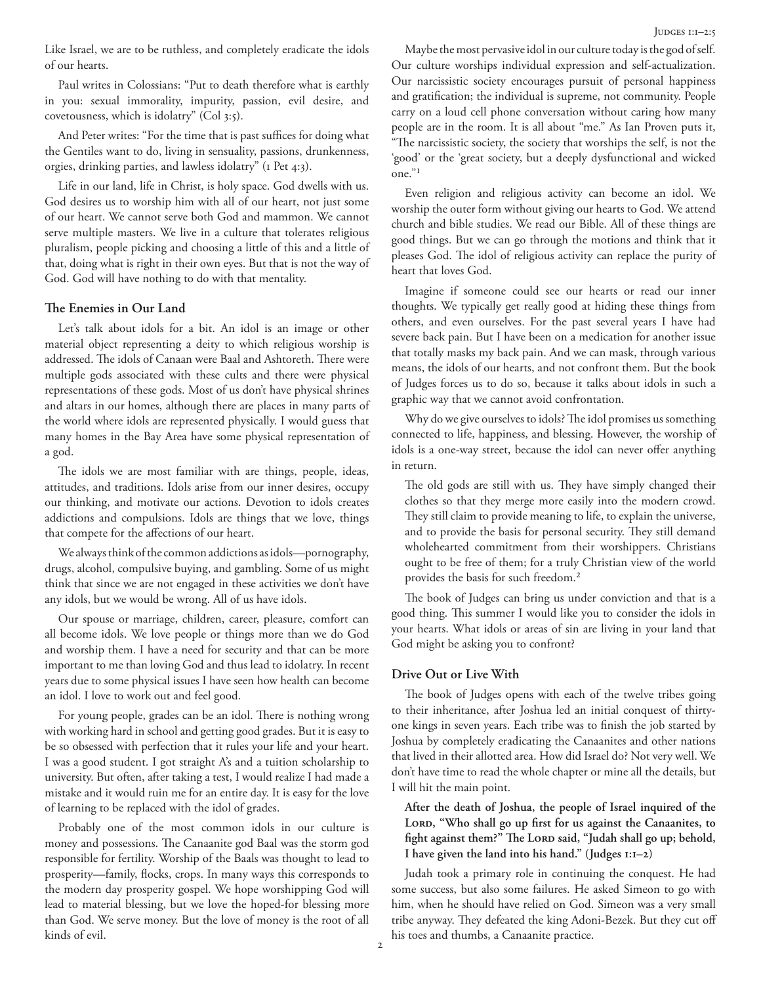Like Israel, we are to be ruthless, and completely eradicate the idols of our hearts.

Paul writes in Colossians: "Put to death therefore what is earthly in you: sexual immorality, impurity, passion, evil desire, and covetousness, which is idolatry" (Col 3:5).

And Peter writes: "For the time that is past suffices for doing what the Gentiles want to do, living in sensuality, passions, drunkenness, orgies, drinking parties, and lawless idolatry" (1 Pet 4:3).

Life in our land, life in Christ, is holy space. God dwells with us. God desires us to worship him with all of our heart, not just some of our heart. We cannot serve both God and mammon. We cannot serve multiple masters. We live in a culture that tolerates religious pluralism, people picking and choosing a little of this and a little of that, doing what is right in their own eyes. But that is not the way of God. God will have nothing to do with that mentality.

# **The Enemies in Our Land**

Let's talk about idols for a bit. An idol is an image or other material object representing a deity to which religious worship is addressed. The idols of Canaan were Baal and Ashtoreth. There were multiple gods associated with these cults and there were physical representations of these gods. Most of us don't have physical shrines and altars in our homes, although there are places in many parts of the world where idols are represented physically. I would guess that many homes in the Bay Area have some physical representation of a god.

The idols we are most familiar with are things, people, ideas, attitudes, and traditions. Idols arise from our inner desires, occupy our thinking, and motivate our actions. Devotion to idols creates addictions and compulsions. Idols are things that we love, things that compete for the affections of our heart.

We always think of the common addictions as idols—pornography, drugs, alcohol, compulsive buying, and gambling. Some of us might think that since we are not engaged in these activities we don't have any idols, but we would be wrong. All of us have idols.

Our spouse or marriage, children, career, pleasure, comfort can all become idols. We love people or things more than we do God and worship them. I have a need for security and that can be more important to me than loving God and thus lead to idolatry. In recent years due to some physical issues I have seen how health can become an idol. I love to work out and feel good.

For young people, grades can be an idol. There is nothing wrong with working hard in school and getting good grades. But it is easy to be so obsessed with perfection that it rules your life and your heart. I was a good student. I got straight A's and a tuition scholarship to university. But often, after taking a test, I would realize I had made a mistake and it would ruin me for an entire day. It is easy for the love of learning to be replaced with the idol of grades.

Probably one of the most common idols in our culture is money and possessions. The Canaanite god Baal was the storm god responsible for fertility. Worship of the Baals was thought to lead to prosperity—family, flocks, crops. In many ways this corresponds to the modern day prosperity gospel. We hope worshipping God will lead to material blessing, but we love the hoped-for blessing more than God. We serve money. But the love of money is the root of all kinds of evil.

Maybe the most pervasive idol in our culture today is the god of self. Our culture worships individual expression and self-actualization. Our narcissistic society encourages pursuit of personal happiness and gratification; the individual is supreme, not community. People carry on a loud cell phone conversation without caring how many people are in the room. It is all about "me." As Ian Proven puts it, "The narcissistic society, the society that worships the self, is not the 'good' or the 'great society, but a deeply dysfunctional and wicked one."1

Even religion and religious activity can become an idol. We worship the outer form without giving our hearts to God. We attend church and bible studies. We read our Bible. All of these things are good things. But we can go through the motions and think that it pleases God. The idol of religious activity can replace the purity of heart that loves God.

Imagine if someone could see our hearts or read our inner thoughts. We typically get really good at hiding these things from others, and even ourselves. For the past several years I have had severe back pain. But I have been on a medication for another issue that totally masks my back pain. And we can mask, through various means, the idols of our hearts, and not confront them. But the book of Judges forces us to do so, because it talks about idols in such a graphic way that we cannot avoid confrontation.

Why do we give ourselves to idols? The idol promises us something connected to life, happiness, and blessing. However, the worship of idols is a one-way street, because the idol can never offer anything in return.

The old gods are still with us. They have simply changed their clothes so that they merge more easily into the modern crowd. They still claim to provide meaning to life, to explain the universe, and to provide the basis for personal security. They still demand wholehearted commitment from their worshippers. Christians ought to be free of them; for a truly Christian view of the world provides the basis for such freedom.2

The book of Judges can bring us under conviction and that is a good thing. This summer I would like you to consider the idols in your hearts. What idols or areas of sin are living in your land that God might be asking you to confront?

## **Drive Out or Live With**

The book of Judges opens with each of the twelve tribes going to their inheritance, after Joshua led an initial conquest of thirtyone kings in seven years. Each tribe was to finish the job started by Joshua by completely eradicating the Canaanites and other nations that lived in their allotted area. How did Israel do? Not very well. We don't have time to read the whole chapter or mine all the details, but I will hit the main point.

**After the death of Joshua, the people of Israel inquired of the**  LORD, "Who shall go up first for us against the Canaanites, to fight against them?" The LORD said, "Judah shall go up; behold, **I have given the land into his hand." (Judges 1:1–2)**

Judah took a primary role in continuing the conquest. He had some success, but also some failures. He asked Simeon to go with him, when he should have relied on God. Simeon was a very small tribe anyway. They defeated the king Adoni-Bezek. But they cut off his toes and thumbs, a Canaanite practice.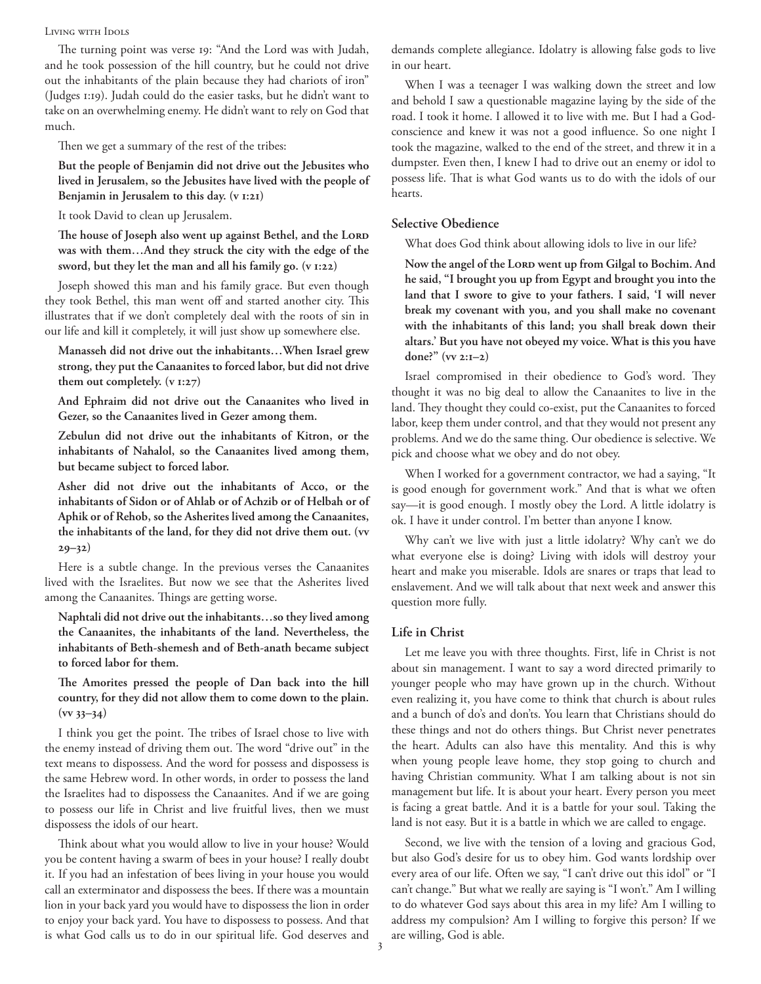#### Living with Idols

The turning point was verse 19: "And the Lord was with Judah, and he took possession of the hill country, but he could not drive out the inhabitants of the plain because they had chariots of iron" (Judges 1:19). Judah could do the easier tasks, but he didn't want to take on an overwhelming enemy. He didn't want to rely on God that much.

Then we get a summary of the rest of the tribes:

**But the people of Benjamin did not drive out the Jebusites who lived in Jerusalem, so the Jebusites have lived with the people of Benjamin in Jerusalem to this day. (v 1:21)**

It took David to clean up Jerusalem.

The house of Joseph also went up against Bethel, and the LORD **was with them…And they struck the city with the edge of the sword, but they let the man and all his family go. (v 1:22)**

Joseph showed this man and his family grace. But even though they took Bethel, this man went off and started another city. This illustrates that if we don't completely deal with the roots of sin in our life and kill it completely, it will just show up somewhere else.

**Manasseh did not drive out the inhabitants…When Israel grew strong, they put the Canaanites to forced labor, but did not drive them out completely. (v 1:27)**

**And Ephraim did not drive out the Canaanites who lived in Gezer, so the Canaanites lived in Gezer among them.**

**Zebulun did not drive out the inhabitants of Kitron, or the inhabitants of Nahalol, so the Canaanites lived among them, but became subject to forced labor.**

**Asher did not drive out the inhabitants of Acco, or the inhabitants of Sidon or of Ahlab or of Achzib or of Helbah or of Aphik or of Rehob, so the Asherites lived among the Canaanites, the inhabitants of the land, for they did not drive them out. (vv 29–32)**

Here is a subtle change. In the previous verses the Canaanites lived with the Israelites. But now we see that the Asherites lived among the Canaanites. Things are getting worse.

**Naphtali did not drive out the inhabitants…so they lived among the Canaanites, the inhabitants of the land. Nevertheless, the inhabitants of Beth-shemesh and of Beth-anath became subject to forced labor for them.**

**The Amorites pressed the people of Dan back into the hill country, for they did not allow them to come down to the plain. (vv 33–34)**

I think you get the point. The tribes of Israel chose to live with the enemy instead of driving them out. The word "drive out" in the text means to dispossess. And the word for possess and dispossess is the same Hebrew word. In other words, in order to possess the land the Israelites had to dispossess the Canaanites. And if we are going to possess our life in Christ and live fruitful lives, then we must dispossess the idols of our heart.

Think about what you would allow to live in your house? Would you be content having a swarm of bees in your house? I really doubt it. If you had an infestation of bees living in your house you would call an exterminator and dispossess the bees. If there was a mountain lion in your back yard you would have to dispossess the lion in order to enjoy your back yard. You have to dispossess to possess. And that is what God calls us to do in our spiritual life. God deserves and

demands complete allegiance. Idolatry is allowing false gods to live in our heart.

When I was a teenager I was walking down the street and low and behold I saw a questionable magazine laying by the side of the road. I took it home. I allowed it to live with me. But I had a Godconscience and knew it was not a good influence. So one night I took the magazine, walked to the end of the street, and threw it in a dumpster. Even then, I knew I had to drive out an enemy or idol to possess life. That is what God wants us to do with the idols of our hearts.

#### **Selective Obedience**

What does God think about allowing idols to live in our life?

Now the angel of the Lor<sub>D</sub> went up from Gilgal to Bochim. And **he said, "I brought you up from Egypt and brought you into the land that I swore to give to your fathers. I said, 'I will never break my covenant with you, and you shall make no covenant with the inhabitants of this land; you shall break down their altars.' But you have not obeyed my voice. What is this you have done?" (vv 2:1–2)**

Israel compromised in their obedience to God's word. They thought it was no big deal to allow the Canaanites to live in the land. They thought they could co-exist, put the Canaanites to forced labor, keep them under control, and that they would not present any problems. And we do the same thing. Our obedience is selective. We pick and choose what we obey and do not obey.

When I worked for a government contractor, we had a saying, "It is good enough for government work." And that is what we often say—it is good enough. I mostly obey the Lord. A little idolatry is ok. I have it under control. I'm better than anyone I know.

Why can't we live with just a little idolatry? Why can't we do what everyone else is doing? Living with idols will destroy your heart and make you miserable. Idols are snares or traps that lead to enslavement. And we will talk about that next week and answer this question more fully.

#### **Life in Christ**

Let me leave you with three thoughts. First, life in Christ is not about sin management. I want to say a word directed primarily to younger people who may have grown up in the church. Without even realizing it, you have come to think that church is about rules and a bunch of do's and don'ts. You learn that Christians should do these things and not do others things. But Christ never penetrates the heart. Adults can also have this mentality. And this is why when young people leave home, they stop going to church and having Christian community. What I am talking about is not sin management but life. It is about your heart. Every person you meet is facing a great battle. And it is a battle for your soul. Taking the land is not easy. But it is a battle in which we are called to engage.

Second, we live with the tension of a loving and gracious God, but also God's desire for us to obey him. God wants lordship over every area of our life. Often we say, "I can't drive out this idol" or "I can't change." But what we really are saying is "I won't." Am I willing to do whatever God says about this area in my life? Am I willing to address my compulsion? Am I willing to forgive this person? If we are willing, God is able.